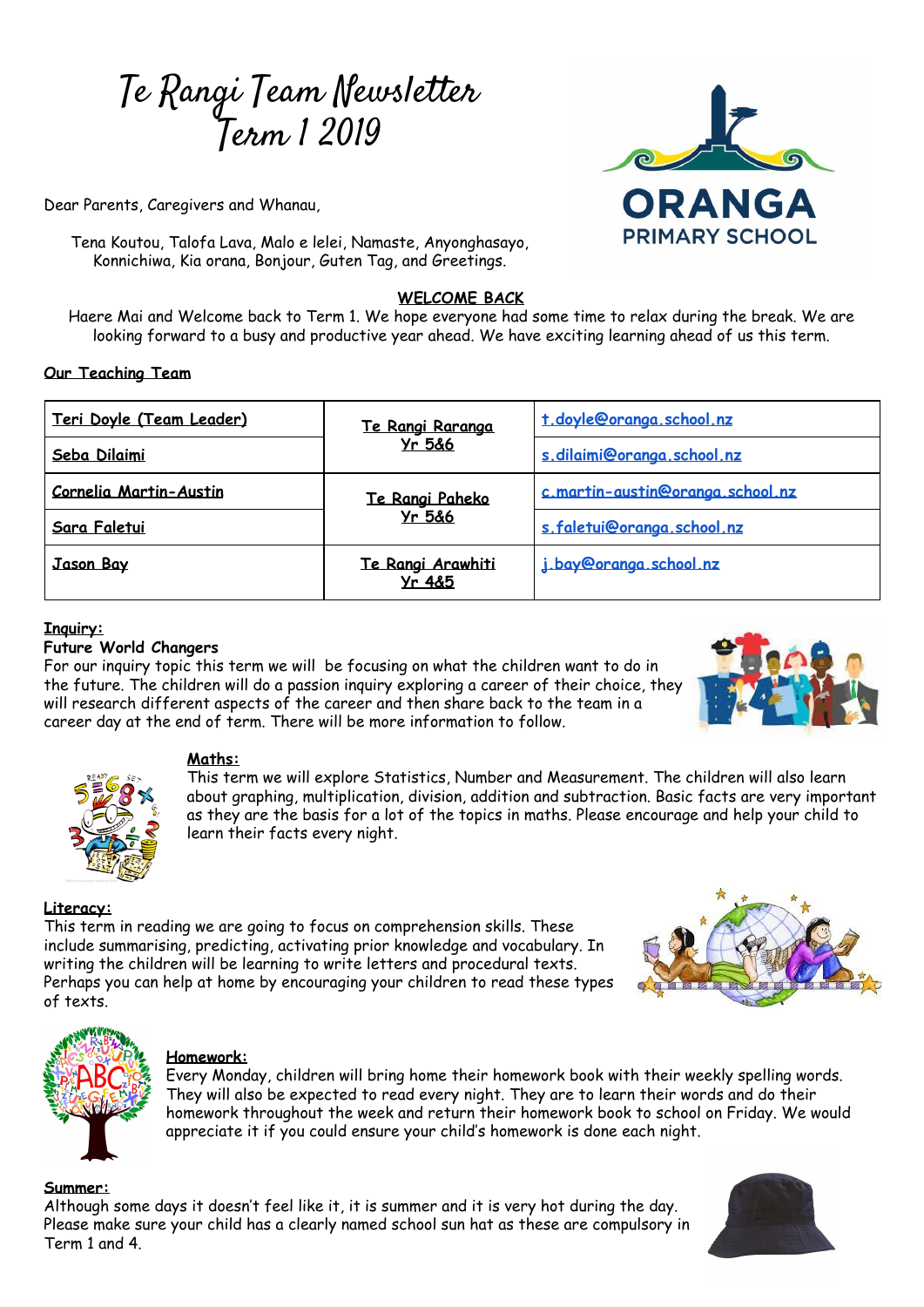# Te Rangi Team Newsletter Term 1 2019

Dear Parents, Caregivers and Whanau,

Tena Koutou, Talofa Lava, Malo e lelei, Namaste, Anyonghasayo, Konnichiwa, Kia orana, Bonjour, Guten Tag, and Greetings.

# **WELCOME BACK**

Haere Mai and Welcome back to Term 1. We hope everyone had some time to relax during the break. We are looking forward to a busy and productive year ahead. We have exciting learning ahead of us this term.

## **Our Teaching Team**

| Teri Doyle (Team Leader)      | Te Rangi Raranga<br><b>Yr 5&amp;6</b>  | t doyle@oranga_school_nz         |
|-------------------------------|----------------------------------------|----------------------------------|
| Seba Dilaimi                  |                                        | s.dilaimi@oranga.school.nz       |
| <b>Cornelia Martin-Austin</b> | Te Rangi Paheko<br><b>Yr 5&amp;6</b>   | c.martin-austin@oranga.school.nz |
| Sara Faletui                  |                                        | s.faletui@oranga.school.nz       |
| <b>Jason Bay</b>              | Te Rangi Arawhiti<br><b>Yr 4&amp;5</b> | j bay@oranga school nz           |

## **Inquiry:**

## **Future World Changers**

For our inquiry topic this term we will be focusing on what the children want to do in the future. The children will do a passion inquiry exploring a career of their choice, they will research different aspects of the career and then share back to the team in a career day at the end of term. There will be more information to follow.



ORANGA

**PRIMARY SCHOOL** 



#### **Maths:**

This term we will explore Statistics, Number and Measurement. The children will also learn about graphing, multiplication, division, addition and subtraction. Basic facts are very important as they are the basis for a lot of the topics in maths. Please encourage and help your child to learn their facts every night.

# **Literacy:**

This term in reading we are going to focus on comprehension skills. These include summarising, predicting, activating prior knowledge and vocabulary. In writing the children will be learning to write letters and procedural texts. Perhaps you can help at home by encouraging your children to read these types of texts.





# **Homework:**

Every Monday, children will bring home their homework book with their weekly spelling words. They will also be expected to read every night. They are to learn their words and do their homework throughout the week and return their homework book to school on Friday. We would appreciate it if you could ensure your child's homework is done each night.

#### **Summer:**

Although some days it doesn't feel like it, it is summer and it is very hot during the day. Please make sure your child has a clearly named school sun hat as these are compulsory in Term 1 and 4.